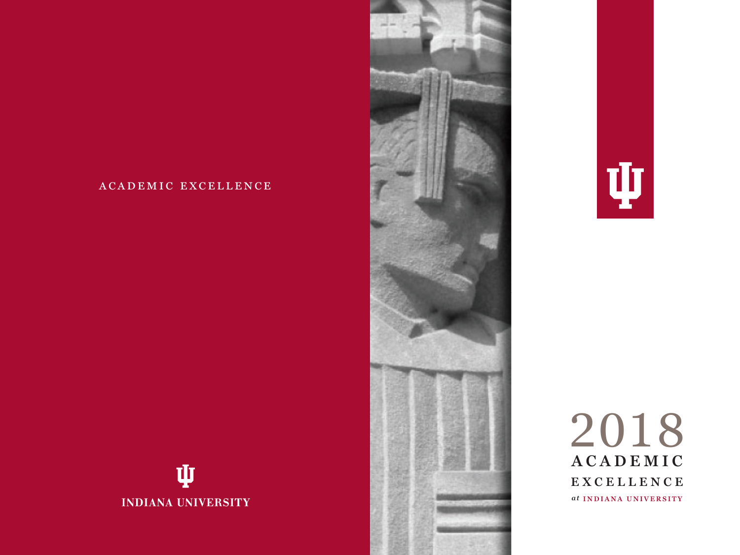# academic excellence







**INDIANA UNIVERSITY** 





2018 **ACADEMIC EXCELLENCE** *a t* **INDIANA UNIVERSITY**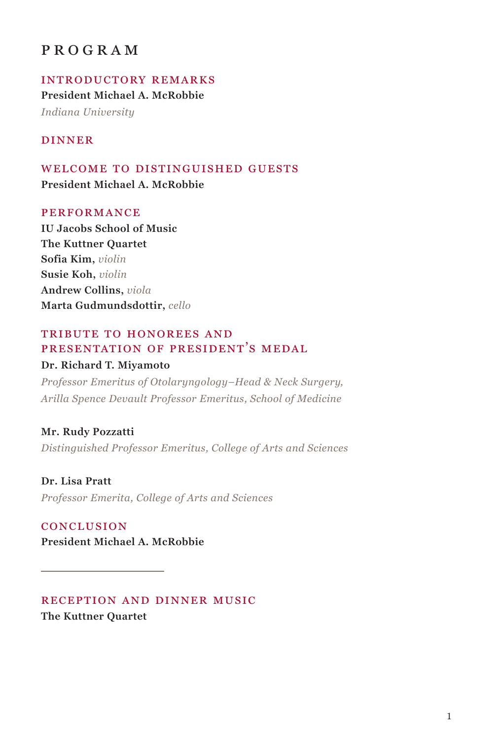## program

introductory remarks **President Michael A. McRobbie** *Indiana University*

#### dinner

WELCOME TO DISTINGUISHED GUESTS **President Michael A. McRobbie**

#### **PERFORMANCE**

**IU Jacobs School of Music The Kuttner Quartet Sofia Kim,** *violin* **Susie Koh,** *violin* **Andrew Collins,** *viola* **Marta Gudmundsdottir,** *cello*

#### tribute to honorees and presentation of president's medal

#### **Dr. Richard T. Miyamoto**

*Professor Emeritus of Otolaryngology–Head & Neck Surgery, Arilla Spence Devault Professor Emeritus, School of Medicine*

**Mr. Rudy Pozzatti** *Distinguished Professor Emeritus, College of Arts and Sciences*

**Dr. Lisa Pratt** *Professor Emerita, College of Arts and Sciences*

conclusion **President Michael A. McRobbie**

#### reception and dinner music **The Kuttner Quartet**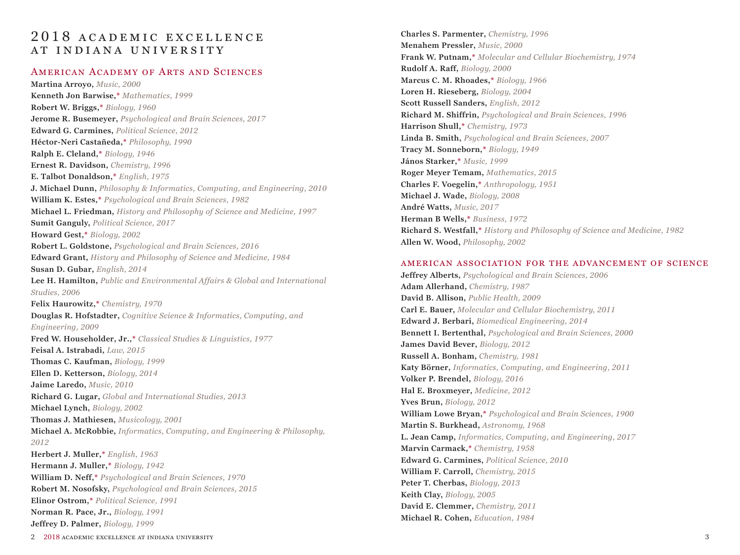# 2018 ACADEMIC EXCELLENCE AT INDIANA UNIVERSITY

## American Academy of Arts and Sciences

**Martina Arroyo,** *Music, 2000* **Kenneth Jon Barwise,\*** *Mathematics, 1999* **Robert W. Briggs,\*** *Biology, 1960* **Jerome R. Busemeyer,** *Psychological and Brain Sciences, 2017* **Edward G. Carmines,** *Political Science, 2012* **Héctor-Neri Castañeda,\*** *Philosophy, 1990* **Ralph E. Cleland,\*** *Biology, 1946* **Ernest R. Davidson,** *Chemistry, 1996* **E. Talbot Donaldson,\*** *English, 1975* **J. Michael Dunn,** *Philosophy & Informatics, Computing, and Engineering, 2010* **William K. Estes,\*** *Psychological and Brain Sciences, 1982* **Michael L. Friedman,** *History and Philosophy of Science and Medicine, 1997* **Sumit Ganguly,** *Political Science, 2017* **Howard Gest,\*** *Biology, 2002* **Robert L. Goldstone,** *Psychological and Brain Sciences, 2016* **Edward Grant,** *History and Philosophy of Science and Medicine, 1984* **Susan D. Gubar,** *English, 2014* **Lee H. Hamilton,** *Public and Environmental Affairs & Global and International Studies, 2006* **Felix Haurowitz,\*** *Chemistry, 1970* **Douglas R. Hofstadter,** *Cognitive Science & Informatics, Computing, and Engineering, 2009* **Fred W. Householder, Jr.,\*** *Classical Studies & Linguistics, 1977* **Feisal A. Istrabadi,** *Law, 2015* **Thomas C. Kaufman,** *Biology, 1999* **Ellen D. Ketterson,** *Biology, 2014* **Jaime Laredo,** *Music, 2010* **Richard G. Lugar,** *Global and International Studies, 2013* **Michael Lynch,** *Biology, 2002* **Thomas J. Mathiesen,** *Musicology, 2001* **Michael A. McRobbie,** *Informatics, Computing, and Engineering & Philosophy, 2012* **Herbert J. Muller,\*** *English, 1963* **Hermann J. Muller,\*** *Biology, 1942* **William D. Neff,\*** *Psychological and Brain Sciences, 1970* **Robert M. Nosofsky,** *Psychological and Brain Sciences, 2015* **Elinor Ostrom,\*** *Political Science, 1991* **Norman R. Pace, Jr.,** *Biology, 1991* **Jeffrey D. Palmer,** *Biology, 1999*

**Charles S. Parmenter,** *Chemistry, 1996* **Menahem Pressler,** *Music, 2000* **Frank W. Putnam,\*** *Molecular and Cellular Biochemistry, 1974* **Rudolf A. Raff,** *Biology, 2000* **Marcus C. M. Rhoades,\*** *Biology, 1966* **Loren H. Rieseberg,** *Biology, 2004* **Scott Russell Sanders,** *English, 2012* **Richard M. Shiffrin,** *Psychological and Brain Sciences, 1996* **Harrison Shull,\*** *Chemistry, 1973* **Linda B. Smith,** *Psychological and Brain Sciences, 2007* **Tracy M. Sonneborn,\*** *Biology, 1949* **János Starker,\*** *Music, 1999* **Roger Meyer Temam,** *Mathematics, 2015* **Charles F. Voegelin,\*** *Anthropology, 1951* **Michael J. Wade,** *Biology, 2008* **André Watts,** *Music, 2017* **Herman B Wells,\*** *Business, 1972* **Richard S. Westfall,\*** *History and Philosophy of Science and Medicine, 1982* **Allen W. Wood,** *Philosophy, 2002*

#### american association for the advancement of science

**Jeffrey Alberts,** *Psychological and Brain Sciences, 2006* **Adam Allerhand,** *Chemistry, 1987* **David B. Allison,** *Public Health, 2009* **Carl E. Bauer,** *Molecular and Cellular Biochemistry, 2011* **Edward J. Berbari,** *Biomedical Engineering, 2014* **Bennett I. Bertenthal,** *Psychological and Brain Sciences, 2000* **James David Bever,** *Biology, 2012* **Russell A. Bonham,** *Chemistry, 1981* **Katy Börner,** *Informatics, Computing, and Engineering, 2011* **Volker P. Brendel,** *Biology, 2016* **Hal E. Broxmeyer,** *Medicine, 2012* **Yves Brun,** *Biology, 2012* **William Lowe Bryan,\*** *Psychological and Brain Sciences, 1900* **Martin S. Burkhead,** *Astronomy, 1968* **L. Jean Camp,** *Informatics, Computing, and Engineering, 2017* **Marvin Carmack,\*** *Chemistry, 1958* **Edward G. Carmines,** *Political Science, 2010* **William F. Carroll,** *Chemistry, 2015* **Peter T. Cherbas,** *Biology, 2013* **Keith Clay,** *Biology, 2005* **David E. Clemmer,** *Chemistry, 2011* **Michael R. Cohen,** *Education, 1984*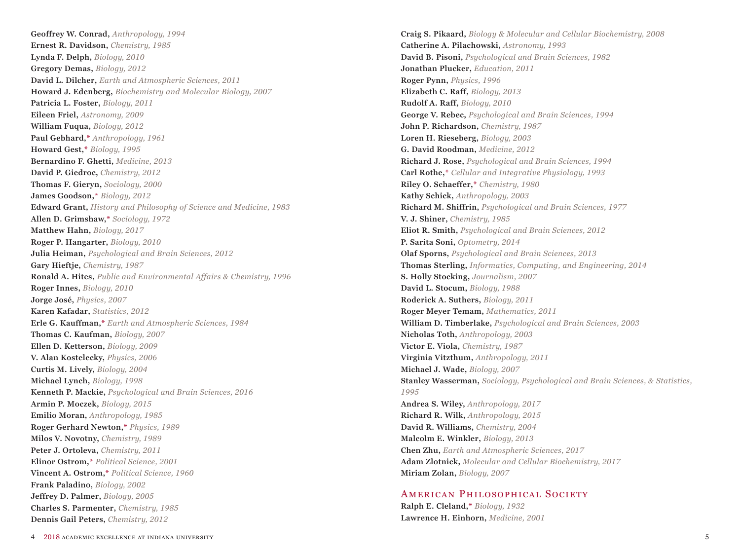**Geoffrey W. Conrad,** *Anthropology, 1994* **Ernest R. Davidson,** *Chemistry, 1985* **Lynda F. Delph,** *Biology, 2010* **Gregory Demas,** *Biology, 2012* **David L. Dilcher,** *Earth and Atmospheric Sciences, 2011* **Howard J. Edenberg,** *Biochemistry and Molecular Biology, 2007* **Patricia L. Foster,** *Biology, 2011* **Eileen Friel,** *Astronomy, 2009* **William Fuqua,** *Biology, 2012* **Paul Gebhard,\*** *Anthropology, 1961* **Howard Gest,\*** *Biology, 1995* **Bernardino F. Ghetti,** *Medicine, 2013* **David P. Giedroc,** *Chemistry, 2012* **Thomas F. Gieryn,** *Sociology, 2000* **James Goodson,\*** *Biology, 2012* **Edward Grant,** *History and Philosophy of Science and Medicine, 1983* **Allen D. Grimshaw,\*** *Sociology, 1972* **Matthew Hahn,** *Biology, 2017* **Roger P. Hangarter,** *Biology, 2010* **Julia Heiman,** *Psychological and Brain Sciences, 2012* **Gary Hieftje,** *Chemistry, 1987* **Ronald A. Hites,** *Public and Environmental Affairs & Chemistry, 1996* **Roger Innes,** *Biology, 2010* **Jorge José,** *Physics, 2007* **Karen Kafadar,** *Statistics, 2012* **Erle G. Kauffman,\*** *Earth and Atmospheric Sciences, 1984* **Thomas C. Kaufman,** *Biology, 2007* **Ellen D. Ketterson,** *Biology, 2009* **V. Alan Kostelecky,** *Physics, 2006* **Curtis M. Lively,** *Biology, 2004* **Michael Lynch,** *Biology, 1998* **Kenneth P. Mackie,** *Psychological and Brain Sciences, 2016* **Armin P. Moczek,** *Biology, 2015* **Emilio Moran,** *Anthropology, 1985* **Roger Gerhard Newton,\*** *Physics, 1989* **Milos V. Novotny,** *Chemistry, 1989* **Peter J. Ortoleva,** *Chemistry, 2011* **Elinor Ostrom,\*** *Political Science, 2001* **Vincent A. Ostrom,\*** *Political Science, 1960* **Frank Paladino,** *Biology, 2002* **Jeffrey D. Palmer,** *Biology, 2005* **Charles S. Parmenter,** *Chemistry, 1985* **Dennis Gail Peters,** *Chemistry, 2012*

**Craig S. Pikaard,** *Biology & Molecular and Cellular Biochemistry, 2008* **Catherine A. Pilachowski,** *Astronomy, 1993* **David B. Pisoni,** *Psychological and Brain Sciences, 1982* **Jonathan Plucker,** *Education, 2011* **Roger Pynn,** *Physics, 1996* **Elizabeth C. Raff,** *Biology, 2013* **Rudolf A. Raff,** *Biology, 2010* **George V. Rebec,** *Psychological and Brain Sciences, 1994* **John P. Richardson,** *Chemistry, 1987* **Loren H. Rieseberg,** *Biology, 2003* **G. David Roodman,** *Medicine, 2012* **Richard J. Rose,** *Psychological and Brain Sciences, 1994* **Carl Rothe,\*** *Cellular and Integrative Physiology, 1993* **Riley O. Schaeffer,\*** *Chemistry, 1980* **Kathy Schick,** *Anthropology, 2003* **Richard M. Shiffrin,** *Psychological and Brain Sciences, 1977* **V. J. Shiner,** *Chemistry, 1985* **Eliot R. Smith,** *Psychological and Brain Sciences, 2012* **P. Sarita Soni,** *Optometry, 2014* **Olaf Sporns,** *Psychological and Brain Sciences, 2013* **Thomas Sterling,** *Informatics, Computing, and Engineering, 2014* **S. Holly Stocking,** *Journalism, 2007* **David L. Stocum,** *Biology, 1988* **Roderick A. Suthers,** *Biology, 2011* **Roger Meyer Temam,** *Mathematics, 2011* **William D. Timberlake,** *Psychological and Brain Sciences, 2003* **Nicholas Toth,** *Anthropology, 2003* **Victor E. Viola,** *Chemistry, 1987* **Virginia Vitzthum,** *Anthropology, 2011* **Michael J. Wade,** *Biology, 2007* **Stanley Wasserman,** *Sociology, Psychological and Brain Sciences, & Statistics, 1995* **Andrea S. Wiley,** *Anthropology, 2017* **Richard R. Wilk,** *Anthropology, 2015* **David R. Williams,** *Chemistry, 2004* **Malcolm E. Winkler,** *Biology, 2013* **Chen Zhu,** *Earth and Atmospheric Sciences, 2017* **Adam Zlotnick,** *Molecular and Cellular Biochemistry, 2017* **Miriam Zolan,** *Biology, 2007*

## AMERICAN PHILOSOPHICAL SOCIETY

**Ralph E. Cleland,\*** *Biology, 1932* **Lawrence H. Einhorn,** *Medicine, 2001*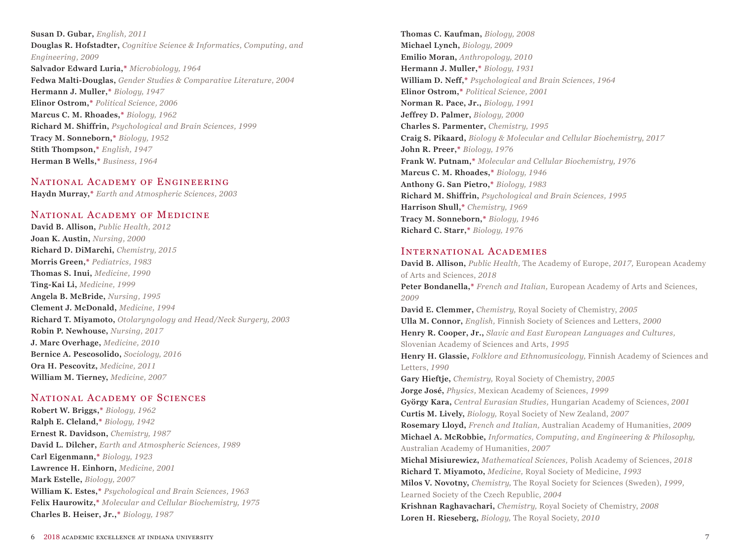**Susan D. Gubar,** *English, 2011* **Douglas R. Hofstadter,** *Cognitive Science & Informatics, Computing, and Engineering, 2009* **Salvador Edward Luria,\*** *Microbiology, 1964* **Fedwa Malti-Douglas,** *Gender Studies & Comparative Literature, 2004* **Hermann J. Muller,\*** *Biology, 1947* **Elinor Ostrom,\*** *Political Science, 2006* **Marcus C. M. Rhoades,\*** *Biology, 1962* **Richard M. Shiffrin,** *Psychological and Brain Sciences, 1999* **Tracy M. Sonneborn,\*** *Biology, 1952* **Stith Thompson,\*** *English, 1947* **Herman B Wells,\*** *Business, 1964*

## National Academy of Engineering

**Haydn Murray,\*** *Earth and Atmospheric Sciences, 2003*

## NATIONAL ACADEMY OF MEDICINE

**David B. Allison,** *Public Health, 2012* **Joan K. Austin,** *Nursing, 2000* **Richard D. DiMarchi,** *Chemistry, 2015* **Morris Green,\*** *Pediatrics, 1983* **Thomas S. Inui,** *Medicine, 1990* **Ting-Kai Li,** *Medicine, 1999* **Angela B. McBride,** *Nursing, 1995* **Clement J. McDonald,** *Medicine, 1994* **Richard T. Miyamoto,** *Otolaryngology and Head/Neck Surgery, 2003* **Robin P. Newhouse,** *Nursing, 2017* **J. Marc Overhage,** *Medicine, 2010* **Bernice A. Pescosolido,** *Sociology, 2016* **Ora H. Pescovitz,** *Medicine, 2011* **William M. Tierney,** *Medicine, 2007*

#### National Academy of Sciences

**Robert W. Briggs,\*** *Biology, 1962* **Ralph E. Cleland,\*** *Biology, 1942* **Ernest R. Davidson,** *Chemistry, 1987* **David L. Dilcher,** *Earth and Atmospheric Sciences, 1989* **Carl Eigenmann,\*** *Biology, 1923* **Lawrence H. Einhorn,** *Medicine, 2001* **Mark Estelle,** *Biology, 2007* **William K. Estes,\*** *Psychological and Brain Sciences, 1963* **Felix Haurowitz,\*** *Molecular and Cellular Biochemistry, 1975* **Charles B. Heiser, Jr.,\*** *Biology, 1987*

**Thomas C. Kaufman,** *Biology, 2008* **Michael Lynch,** *Biology, 2009* **Emilio Moran,** *Anthropology, 2010* **Hermann J. Muller,\*** *Biology, 1931* **William D. Neff,\*** *Psychological and Brain Sciences, 1964* **Elinor Ostrom,\*** *Political Science, 2001* **Norman R. Pace, Jr.,** *Biology, 1991* **Jeffrey D. Palmer,** *Biology, 2000* **Charles S. Parmenter,** *Chemistry, 1995* **Craig S. Pikaard,** *Biology & Molecular and Cellular Biochemistry, 2017* **John R. Preer,\*** *Biology, 1976* **Frank W. Putnam,\*** *Molecular and Cellular Biochemistry, 1976* **Marcus C. M. Rhoades,\*** *Biology, 1946* **Anthony G. San Pietro,\*** *Biology, 1983* **Richard M. Shiffrin,** *Psychological and Brain Sciences, 1995* **Harrison Shull,\*** *Chemistry, 1969* **Tracy M. Sonneborn,\*** *Biology, 1946* **Richard C. Starr,\*** *Biology, 1976*

#### International Academies

**David B. Allison,** *Public Health,* The Academy of Europe, *2017,* European Academy of Arts and Sciences, *2018* **Peter Bondanella,\*** *French and Italian,* European Academy of Arts and Sciences, *2009* **David E. Clemmer,** *Chemistry,* Royal Society of Chemistry, *2005* **Ulla M. Connor,** *English,* Finnish Society of Sciences and Letters, *2000* **Henry R. Cooper, Jr.,** *Slavic and East European Languages and Cultures,*  Slovenian Academy of Sciences and Arts, *1995* **Henry H. Glassie,** *Folklore and Ethnomusicology,* Finnish Academy of Sciences and Letters, *1990* **Gary Hieftje,** *Chemistry,* Royal Society of Chemistry, *2005* **Jorge José,** *Physics,* Mexican Academy of Sciences, *1999* **György Kara,** *Central Eurasian Studies,* Hungarian Academy of Sciences, *2001* **Curtis M. Lively,** *Biology,* Royal Society of New Zealand, *2007* **Rosemary Lloyd,** *French and Italian,* Australian Academy of Humanities, *2009* **Michael A. McRobbie,** *Informatics, Computing, and Engineering & Philosophy,*  Australian Academy of Humanities, *2007* **Michal Misiurewicz,** *Mathematical Sciences,* Polish Academy of Sciences, *2018* **Richard T. Miyamoto,** *Medicine,* Royal Society of Medicine, *1993* **Milos V. Novotny,** *Chemistry,* The Royal Society for Sciences (Sweden), *1999,* Learned Society of the Czech Republic, *2004*  **Krishnan Raghavachari,** *Chemistry,* Royal Society of Chemistry, *2008* **Loren H. Rieseberg,** *Biology,* The Royal Society, *2010*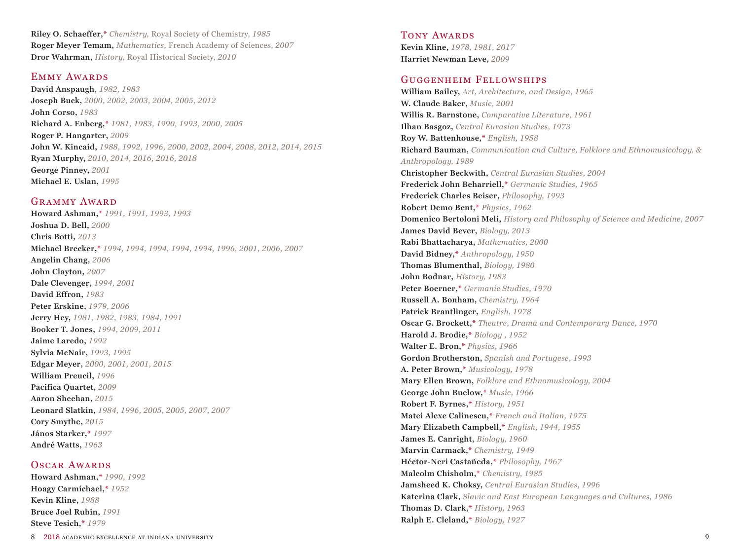**Riley O. Schaeffer,\*** *Chemistry,* Royal Society of Chemistry, *1985* **Roger Meyer Temam,** *Mathematics,* French Academy of Sciences, *2007* **Dror Wahrman,** *History,* Royal Historical Society, *2010*

#### Emmy Awards

**David Anspaugh,** *1982, 1983* **Joseph Buck,** *2000, 2002, 2003, 2004, 2005, 2012* **John Corso,** *1983* **Richard A. Enberg,\*** *1981, 1983, 1990, 1993, 2000, 2005* **Roger P. Hangarter,** *2009* **John W. Kincaid,** *1988, 1992, 1996, 2000, 2002, 2004, 2008, 2012, 2014, 2015* **Ryan Murphy,** *2010, 2014, 2016, 2016, 2018* **George Pinney,** *2001* **Michael E. Uslan,** *1995*

#### GRAMMY AWARD

**Howard Ashman,\*** *1991, 1991, 1993, 1993* **Joshua D. Bell,** *2000* **Chris Botti,** *2013* **Michael Brecker,\*** *1994, 1994, 1994, 1994, 1994, 1996, 2001, 2006, 2007* **Angelin Chang,** *2006* **John Clayton,** *2007* **Dale Clevenger,** *1994, 2001* **David Effron,** *1983* **Peter Erskine,** *1979, 2006* **Jerry Hey,** *1981, 1982, 1983, 1984, 1991* **Booker T. Jones,** *1994, 2009, 2011* **Jaime Laredo,** *1992* **Sylvia McNair,** *1993, 1995* **Edgar Meyer,** *2000, 2001, 2001, 2015* **William Preucil,** *1996* **Pacifica Quartet,** *2009* **Aaron Sheehan,** *2015* **Leonard Slatkin,** *1984, 1996, 2005, 2005, 2007, 2007* **Cory Smythe,** *2015* **János Starker,\*** *1997* **André Watts,** *1963*

#### OSCAR AWARDS

**Howard Ashman,\*** *1990, 1992* **Hoagy Carmichael,\*** *1952* **Kevin Kline,** *1988* **Bruce Joel Rubin,** *1991* **Steve Tesich,\*** *1979*

TONY AWARDS **Kevin Kline,** *1978, 1981, 2017* **Harriet Newman Leve,** *2009*

#### Guggenheim Fellowships

**William Bailey,** *Art, Architecture, and Design, 1965* **W. Claude Baker,** *Music, 2001* **Willis R. Barnstone,** *Comparative Literature, 1961* **Ilhan Basgoz,** *Central Eurasian Studies, 1973* **Roy W. Battenhouse,\*** *English, 1958* **Richard Bauman,** *Communication and Culture, Folklore and Ethnomusicology, & Anthropology, 1989* **Christopher Beckwith,** *Central Eurasian Studies, 2004* **Frederick John Beharriell,\*** *Germanic Studies, 1965* **Frederick Charles Beiser,** *Philosophy, 1993* **Robert Demo Bent,\*** *Physics, 1962* **Domenico Bertoloni Meli,** *History and Philosophy of Science and Medicine, 2007* **James David Bever,** *Biology, 2013* **Rabi Bhattacharya,** *Mathematics, 2000* **David Bidney,\*** *Anthropology, 1950* **Thomas Blumenthal,** *Biology, 1980* **John Bodnar,** *History, 1983* **Peter Boerner,\*** *Germanic Studies, 1970* **Russell A. Bonham,** *Chemistry, 1964* **Patrick Brantlinger,** *English, 1978* **Oscar G. Brockett,\*** *Theatre, Drama and Contemporary Dance, 1970* **Harold J. Brodie,\*** *Biology , 1952* **Walter E. Bron,\*** *Physics, 1966* **Gordon Brotherston,** *Spanish and Portugese, 1993* **A. Peter Brown,\*** *Musicology, 1978* **Mary Ellen Brown,** *Folklore and Ethnomusicology, 2004* **George John Buelow,\*** *Music, 1966* **Robert F. Byrnes,\*** *History, 1951* **Matei Alexe Calinescu,\*** *French and Italian, 1975* **Mary Elizabeth Campbell,\*** *English, 1944, 1955* **James E. Canright,** *Biology, 1960* **Marvin Carmack,\*** *Chemistry, 1949* **Héctor-Neri Castañeda,\*** *Philosophy, 1967* **Malcolm Chisholm,\*** *Chemistry, 1985* **Jamsheed K. Choksy,** *Central Eurasian Studies, 1996* **Katerina Clark,** *Slavic and East European Languages and Cultures, 1986* **Thomas D. Clark,\*** *History, 1963* **Ralph E. Cleland,\*** *Biology, 1927*

8 2018 academic excellence at indiana university 9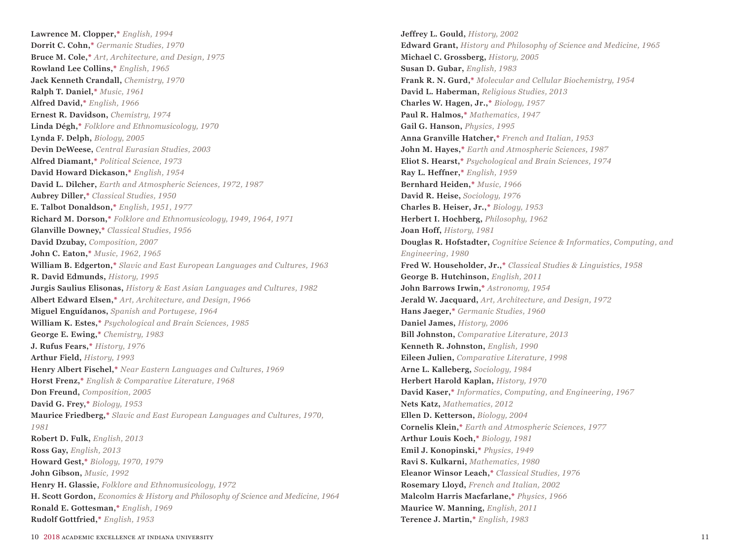**Lawrence M. Clopper,\*** *English, 1994* **Dorrit C. Cohn,\*** *Germanic Studies, 1970* **Bruce M. Cole,\*** *Art, Architecture, and Design, 1975* **Rowland Lee Collins,\*** *English, 1965* **Jack Kenneth Crandall,** *Chemistry, 1970* **Ralph T. Daniel,\*** *Music, 1961* **Alfred David,\*** *English, 1966* **Ernest R. Davidson,** *Chemistry, 1974* **Linda Dégh,\*** *Folklore and Ethnomusicology, 1970* **Lynda F. Delph,** *Biology, 2005* **Devin DeWeese,** *Central Eurasian Studies, 2003* **Alfred Diamant,\*** *Political Science, 1973* **David Howard Dickason,\*** *English, 1954* **David L. Dilcher,** *Earth and Atmospheric Sciences, 1972, 1987* **Aubrey Diller,\*** *Classical Studies, 1950* **E. Talbot Donaldson,\*** *English, 1951, 1977* **Richard M. Dorson,\*** *Folklore and Ethnomusicology, 1949, 1964, 1971* **Glanville Downey,\*** *Classical Studies, 1956* **David Dzubay,** *Composition, 2007* **John C. Eaton,\*** *Music, 1962, 1965* **William B. Edgerton,\*** *Slavic and East European Languages and Cultures, 1963* **R. David Edmunds,** *History, 1995* **Jurgis Saulius Elisonas,** *History & East Asian Languages and Cultures, 1982* **Albert Edward Elsen,\*** *Art, Architecture, and Design, 1966* **Miguel Enguídanos,** *Spanish and Portugese, 1964* **William K. Estes,\*** *Psychological and Brain Sciences, 1985* **George E. Ewing,\*** *Chemistry, 1983* **J. Rufus Fears,\*** *History, 1976* **Arthur Field,** *History, 1993* **Henry Albert Fischel,\*** *Near Eastern Languages and Cultures, 1969* **Horst Frenz,\*** *English & Comparative Literature, 1968* **Don Freund,** *Composition, 2005* **David G. Frey,\*** *Biology, 1953* **Maurice Friedberg,\*** *Slavic and East European Languages and Cultures, 1970, 1981* **Robert D. Fulk,** *English, 2013* **Ross Gay,** *English, 2013* **Howard Gest,\*** *Biology, 1970, 1979* **John Gibson,** *Music, 1992* **Henry H. Glassie,** *Folklore and Ethnomusicology, 1972* **H. Scott Gordon,** *Economics & History and Philosophy of Science and Medicine, 1964* **Ronald E. Gottesman,\*** *English, 1969* **Rudolf Gottfried,\*** *English, 1953*

**Jeffrey L. Gould,** *History, 2002* **Edward Grant,** *History and Philosophy of Science and Medicine, 1965* **Michael C. Grossberg,** *History, 2005* **Susan D. Gubar,** *English, 1983* **Frank R. N. Gurd,\*** *Molecular and Cellular Biochemistry, 1954* **David L. Haberman,** *Religious Studies, 2013* **Charles W. Hagen, Jr.,\*** *Biology, 1957* **Paul R. Halmos,\*** *Mathematics, 1947* **Gail G. Hanson,** *Physics, 1995* **Anna Granville Hatcher,\*** *French and Italian, 1953* **John M. Hayes,\*** *Earth and Atmospheric Sciences, 1987* **Eliot S. Hearst,\*** *Psychological and Brain Sciences, 1974* **Ray L. Heffner,\*** *English, 1959* **Bernhard Heiden,\*** *Music, 1966* **David R. Heise,** *Sociology, 1976* **Charles B. Heiser, Jr.,\*** *Biology, 1953* **Herbert I. Hochberg,** *Philosophy, 1962* **Joan Hoff,** *History, 1981* **Douglas R. Hofstadter,** *Cognitive Science & Informatics, Computing, and Engineering, 1980* **Fred W. Householder, Jr.,\*** *Classical Studies & Linguistics, 1958* **George B. Hutchinson,** *English, 2011* **John Barrows Irwin,\*** *Astronomy, 1954* **Jerald W. Jacquard,** *Art, Architecture, and Design, 1972* **Hans Jaeger,\*** *Germanic Studies, 1960* **Daniel James,** *History, 2006* **Bill Johnston,** *Comparative Literature, 2013* **Kenneth R. Johnston,** *English, 1990* **Eileen Julien,** *Comparative Literature, 1998* **Arne L. Kalleberg,** *Sociology, 1984* **Herbert Harold Kaplan,** *History, 1970* **David Kaser,\*** *Informatics, Computing, and Engineering, 1967* **Nets Katz,** *Mathematics, 2012* **Ellen D. Ketterson,** *Biology, 2004* **Cornelis Klein,\*** *Earth and Atmospheric Sciences, 1977* **Arthur Louis Koch,\*** *Biology, 1981* **Emil J. Konopinski,\*** *Physics, 1949* **Ravi S. Kulkarni,** *Mathematics, 1980* **Eleanor Winsor Leach,\*** *Classical Studies, 1976* **Rosemary Lloyd,** *French and Italian, 2002* **Malcolm Harris Macfarlane,\*** *Physics, 1966* **Maurice W. Manning,** *English, 2011* **Terence J. Martin,\*** *English, 1983*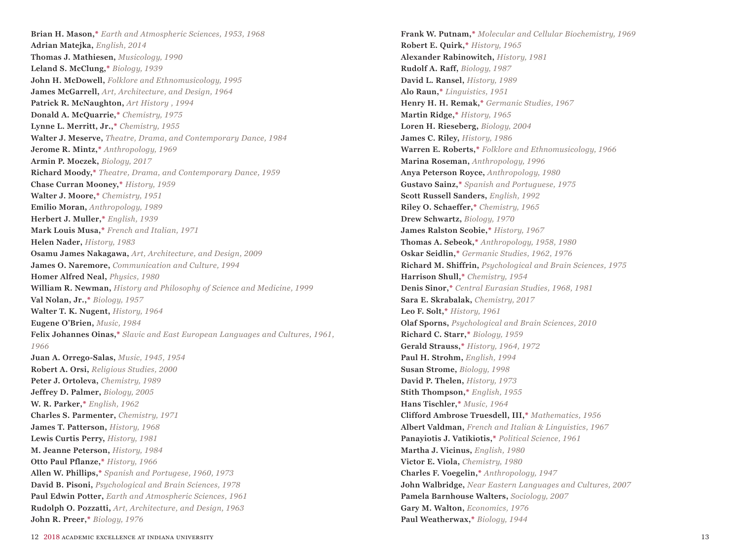**Brian H. Mason,\*** *Earth and Atmospheric Sciences, 1953, 1968* **Adrian Matejka,** *English, 2014* **Thomas J. Mathiesen,** *Musicology, 1990* **Leland S. McClung,\*** *Biology, 1939* **John H. McDowell,** *Folklore and Ethnomusicology, 1995* **James McGarrell,** *Art, Architecture, and Design, 1964* **Patrick R. McNaughton,** *Art History , 1994* **Donald A. McQuarrie,\*** *Chemistry, 1975* **Lynne L. Merritt, Jr.,\*** *Chemistry, 1955* **Walter J. Meserve,** *Theatre, Drama, and Contemporary Dance, 1984* **Jerome R. Mintz,\*** *Anthropology, 1969* **Armin P. Moczek,** *Biology, 2017* **Richard Moody,\*** *Theatre, Drama, and Contemporary Dance, 1959* **Chase Curran Mooney,\*** *History, 1959* **Walter J. Moore,\*** *Chemistry, 1951* **Emilio Moran,** *Anthropology, 1989* **Herbert J. Muller,\*** *English, 1939* **Mark Louis Musa,\*** *French and Italian, 1971* **Helen Nader,** *History, 1983* **Osamu James Nakagawa,** *Art, Architecture, and Design, 2009* **James O. Naremore,** *Communication and Culture, 1994* **Homer Alfred Neal,** *Physics, 1980* **William R. Newman,** *History and Philosophy of Science and Medicine, 1999* **Val Nolan, Jr.,\*** *Biology, 1957* **Walter T. K. Nugent,** *History, 1964* **Eugene O'Brien,** *Music, 1984* **Felix Johannes Oinas,\*** *Slavic and East European Languages and Cultures, 1961, 1966* **Juan A. Orrego-Salas,** *Music, 1945, 1954* **Robert A. Orsi,** *Religious Studies, 2000* **Peter J. Ortoleva,** *Chemistry, 1989* **Jeffrey D. Palmer,** *Biology, 2005* **W. R. Parker,\*** *English, 1962* **Charles S. Parmenter,** *Chemistry, 1971* **James T. Patterson,** *History, 1968* **Lewis Curtis Perry,** *History, 1981* **M. Jeanne Peterson,** *History, 1984* **Otto Paul Pflanze,\*** *History, 1966* **Allen W. Phillips,\*** *Spanish and Portugese, 1960, 1973* **David B. Pisoni,** *Psychological and Brain Sciences, 1978* **Paul Edwin Potter,** *Earth and Atmospheric Sciences, 1961* **Rudolph O. Pozzatti,** *Art, Architecture, and Design, 1963* **John R. Preer,\*** *Biology, 1976*

**Frank W. Putnam,\*** *Molecular and Cellular Biochemistry, 1969* **Robert E. Quirk,\*** *History, 1965* **Alexander Rabinowitch,** *History, 1981* **Rudolf A. Raff,** *Biology, 1987* **David L. Ransel,** *History, 1989* **Alo Raun,\*** *Linguistics, 1951* **Henry H. H. Remak,\*** *Germanic Studies, 1967* **Martin Ridge,\*** *History, 1965* **Loren H. Rieseberg,** *Biology, 2004* **James C. Riley,** *History, 1986* **Warren E. Roberts,\*** *Folklore and Ethnomusicology, 1966* **Marina Roseman,** *Anthropology, 1996* **Anya Peterson Royce,** *Anthropology, 1980* **Gustavo Sainz,\*** *Spanish and Portuguese, 1975* **Scott Russell Sanders,** *English, 1992* **Riley O. Schaeffer,\*** *Chemistry, 1965* **Drew Schwartz,** *Biology, 1970* **James Ralston Scobie,\*** *History, 1967* **Thomas A. Sebeok,\*** *Anthropology, 1958, 1980* **Oskar Seidlin,\*** *Germanic Studies, 1962, 1976* **Richard M. Shiffrin,** *Psychological and Brain Sciences, 1975* **Harrison Shull,\*** *Chemistry, 1954* **Denis Sinor,\*** *Central Eurasian Studies, 1968, 1981* **Sara E. Skrabalak,** *Chemistry, 2017* **Leo F. Solt,\*** *History, 1961* **Olaf Sporns,** *Psychological and Brain Sciences, 2010* **Richard C. Starr,\*** *Biology, 1959* **Gerald Strauss,\*** *History, 1964, 1972* **Paul H. Strohm,** *English, 1994* **Susan Strome,** *Biology, 1998* **David P. Thelen,** *History, 1973* **Stith Thompson,\*** *English, 1955* **Hans Tischler,\*** *Music, 1964* **Clifford Ambrose Truesdell, III,\*** *Mathematics, 1956* **Albert Valdman,** *French and Italian & Linguistics, 1967* **Panayiotis J. Vatikiotis,\*** *Political Science, 1961* **Martha J. Vicinus,** *English, 1980* **Victor E. Viola,** *Chemistry, 1980* **Charles F. Voegelin,\*** *Anthropology, 1947* **John Walbridge,** *Near Eastern Languages and Cultures, 2007* **Pamela Barnhouse Walters,** *Sociology, 2007* **Gary M. Walton,** *Economics, 1976* **Paul Weatherwax,\*** *Biology, 1944*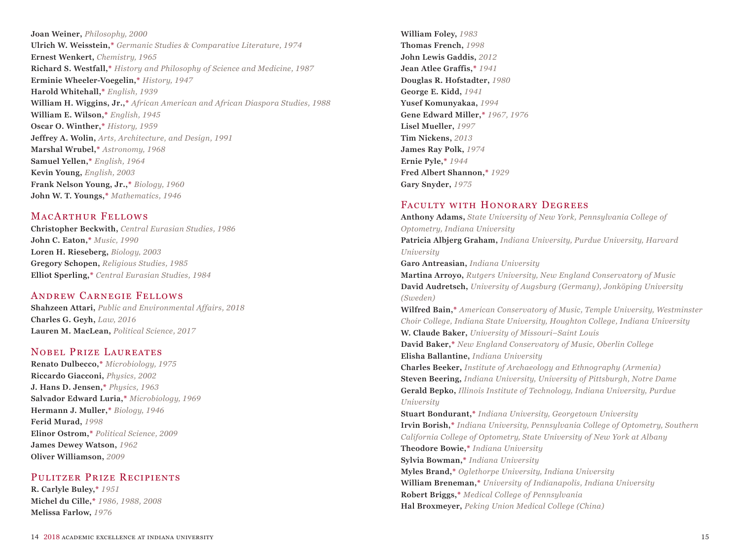**Joan Weiner,** *Philosophy, 2000* **Ulrich W. Weisstein,\*** *Germanic Studies & Comparative Literature, 1974* **Ernest Wenkert,** *Chemistry, 1965* **Richard S. Westfall,\*** *History and Philosophy of Science and Medicine, 1987* **Erminie Wheeler-Voegelin,\*** *History, 1947* **Harold Whitehall,\*** *English, 1939* **William H. Wiggins, Jr.,\*** *African American and African Diaspora Studies, 1988* **William E. Wilson,\*** *English, 1945* **Oscar O. Winther,\*** *History, 1959* **Jeffrey A. Wolin,** *Arts, Architecture, and Design, 1991* **Marshal Wrubel,\*** *Astronomy, 1968* **Samuel Yellen,\*** *English, 1964* **Kevin Young,** *English, 2003* **Frank Nelson Young, Jr.,\*** *Biology, 1960* **John W. T. Youngs,\*** *Mathematics, 1946*

## MACARTHUR FELLOWS

**Christopher Beckwith,** *Central Eurasian Studies, 1986* **John C. Eaton,\*** *Music, 1990* **Loren H. Rieseberg,** *Biology, 2003* **Gregory Schopen,** *Religious Studies, 1985* **Elliot Sperling,\*** *Central Eurasian Studies, 1984*

## Andrew Carnegie Fellows

**Shahzeen Attari,** *Public and Environmental Affairs, 2018* **Charles G. Geyh,** *Law, 2016* **Lauren M. MacLean,** *Political Science, 2017*

## Nobel Prize Laureates

**Renato Dulbecco,\*** *Microbiology, 1975* **Riccardo Giacconi,** *Physics, 2002* **J. Hans D. Jensen,\*** *Physics, 1963* **Salvador Edward Luria,\*** *Microbiology, 1969* **Hermann J. Muller,\*** *Biology, 1946* **Ferid Murad,** *1998* **Elinor Ostrom,\*** *Political Science, 2009* **James Dewey Watson,** *1962* **Oliver Williamson,** *2009*

## Pulitzer Prize Recipients

**R. Carlyle Buley,\*** *1951* **Michel du Cille,\*** *1986, 1988, 2008* **Melissa Farlow,** *1976*

**William Foley,** *1983* **Thomas French,** *1998* **John Lewis Gaddis,** *2012* **Jean Atlee Graffis,\*** *1941* **Douglas R. Hofstadter,** *1980* **George E. Kidd,** *1941* **Yusef Komunyakaa,** *1994* **Gene Edward Miller,\*** *1967, 1976* **Lisel Mueller,** *1997* **Tim Nickens,** *2013* **James Ray Polk,** *1974* **Ernie Pyle,\*** *1944* **Fred Albert Shannon,\*** *1929* **Gary Snyder,** *1975*

## FACULTY WITH HONORARY DEGREES

**Anthony Adams,** *State University of New York, Pennsylvania College of Optometry, Indiana University* **Patricia Albjerg Graham,** *Indiana University, Purdue University, Harvard University* **Garo Antreasian,** *Indiana University* **Martina Arroyo,** *Rutgers University, New England Conservatory of Music* **David Audretsch,** *University of Augsburg (Germany), Jonköping University (Sweden)* **Wilfred Bain,\*** *American Conservatory of Music, Temple University, Westminster Choir College, Indiana State University, Houghton College, Indiana University* **W. Claude Baker,** *University of Missouri–Saint Louis* **David Baker,\*** *New England Conservatory of Music, Oberlin College* **Elisha Ballantine,** *Indiana University* **Charles Beeker,** *Institute of Archaeology and Ethnography (Armenia)* **Steven Beering,** *Indiana University, University of Pittsburgh, Notre Dame* **Gerald Bepko,** *Illinois Institute of Technology, Indiana University, Purdue University* **Stuart Bondurant,\*** *Indiana University, Georgetown University* **Irvin Borish,\*** *Indiana University, Pennsylvania College of Optometry, Southern California College of Optometry, State University of New York at Albany* **Theodore Bowie,\*** *Indiana University* **Sylvia Bowman,\*** *Indiana University* **Myles Brand,\*** *Oglethorpe University, Indiana University* **William Breneman,\*** *University of Indianapolis, Indiana University* **Robert Briggs,\*** *Medical College of Pennsylvania* **Hal Broxmeyer,** *Peking Union Medical College (China)*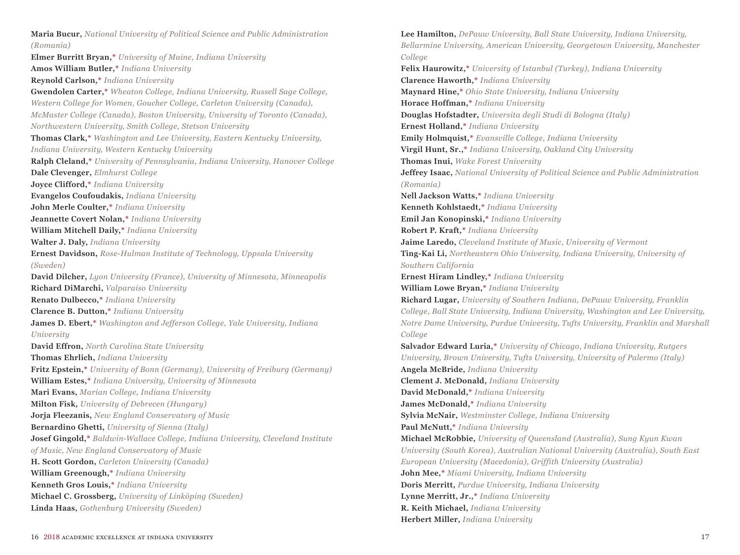**Maria Bucur,** *National University of Political Science and Public Administration (Romania)* **Elmer Burritt Bryan,\*** *University of Maine, Indiana University* **Amos William Butler,\*** *Indiana University* **Reynold Carlson,\*** *Indiana University* **Gwendolen Carter,\*** *Wheaton College, Indiana University, Russell Sage College, Western College for Women, Goucher College, Carleton University (Canada), McMaster College (Canada), Boston University, University of Toronto (Canada), Northwestern University, Smith College, Stetson University* **Thomas Clark,\*** *Washington and Lee University, Eastern Kentucky University, Indiana University, Western Kentucky University* **Ralph Cleland,\*** *University of Pennsylvania, Indiana University, Hanover College* **Dale Clevenger,** *Elmhurst College* **Joyce Clifford,\*** *Indiana University* **Evangelos Coufoudakis,** *Indiana University* **John Merle Coulter,\*** *Indiana University* **Jeannette Covert Nolan,\*** *Indiana University* **William Mitchell Daily,\*** *Indiana University* **Walter J. Daly,** *Indiana University* **Ernest Davidson,** *Rose-Hulman Institute of Technology, Uppsala University (Sweden)* **David Dilcher,** *Lyon University (France), University of Minnesota, Minneapolis*  **Richard DiMarchi,** *Valparaiso University* **Renato Dulbecco,\*** *Indiana University* **Clarence B. Dutton,\*** *Indiana University* **James D. Ebert,\*** *Washington and Jefferson College, Yale University, Indiana University*  **David Effron,** *North Carolina State University* **Thomas Ehrlich,** *Indiana University* **Fritz Epstein,\*** *University of Bonn (Germany), University of Freiburg (Germany)* **William Estes,\*** *Indiana University, University of Minnesota* **Mari Evans,** *Marian College, Indiana University* **Milton Fisk,** *University of Debrecen (Hungary)* **Jorja Fleezanis,** *New England Conservatory of Music* **Bernardino Ghetti,** *University of Sienna (Italy)* **Josef Gingold,\*** *Baldwin-Wallace College, Indiana University, Cleveland Institute of Music, New England Conservatory of Music* **H. Scott Gordon,** *Carleton University (Canada)* **William Greenough,\*** *Indiana University* **Kenneth Gros Louis,\*** *Indiana University* **Michael C. Grossberg,** *University of Linköping (Sweden)* **Linda Haas,** *Gothenburg University (Sweden)*

**Lee Hamilton,** *DePauw University, Ball State University, Indiana University, Bellarmine University, American University, Georgetown University, Manchester College* **Felix Haurowitz,\*** *University of Istanbul (Turkey), Indiana University* **Clarence Haworth,\*** *Indiana University* **Maynard Hine,\*** *Ohio State University, Indiana University* **Horace Hoffman,\*** *Indiana University* **Douglas Hofstadter,** *Universita degli Studi di Bologna (Italy)* **Ernest Holland,\*** *Indiana University* **Emily Holmquist,\*** *Evansville College, Indiana University* **Virgil Hunt, Sr.,\*** *Indiana University, Oakland City University* **Thomas Inui,** *Wake Forest University* **Jeffrey Isaac,** *National University of Political Science and Public Administration (Romania)* **Nell Jackson Watts,\*** *Indiana University* **Kenneth Kohlstaedt,\*** *Indiana University* **Emil Jan Konopinski,\*** *Indiana University* **Robert P. Kraft,\*** *Indiana University* **Jaime Laredo,** *Cleveland Institute of Music, University of Vermont* **Ting-Kai Li,** *Northeastern Ohio University, Indiana University, University of Southern California* **Ernest Hiram Lindley,\*** *Indiana University* **William Lowe Bryan,\*** *Indiana University* **Richard Lugar,** *University of Southern Indiana, DePauw University, Franklin College, Ball State University, Indiana University, Washington and Lee University, Notre Dame University, Purdue University, Tufts University, Franklin and Marshall College*  **Salvador Edward Luria,\*** *University of Chicago, Indiana University, Rutgers University, Brown University, Tufts University, University of Palermo (Italy)* **Angela McBride,** *Indiana University* **Clement J. McDonald,** *Indiana University* **David McDonald,\*** *Indiana University* **James McDonald,\*** *Indiana University* **Sylvia McNair,** *Westminster College, Indiana University* **Paul McNutt,\*** *Indiana University* **Michael McRobbie,** *University of Queensland (Australia), Sung Kyun Kwan University (South Korea), Australian National University (Australia), South East European University (Macedonia), Griffith University (Australia)* **John Mee,\*** *Miami University, Indiana University* **Doris Merritt,** *Purdue University, Indiana University* **Lynne Merritt, Jr.,\*** *Indiana University* **R. Keith Michael,** *Indiana University* **Herbert Miller,** *Indiana University*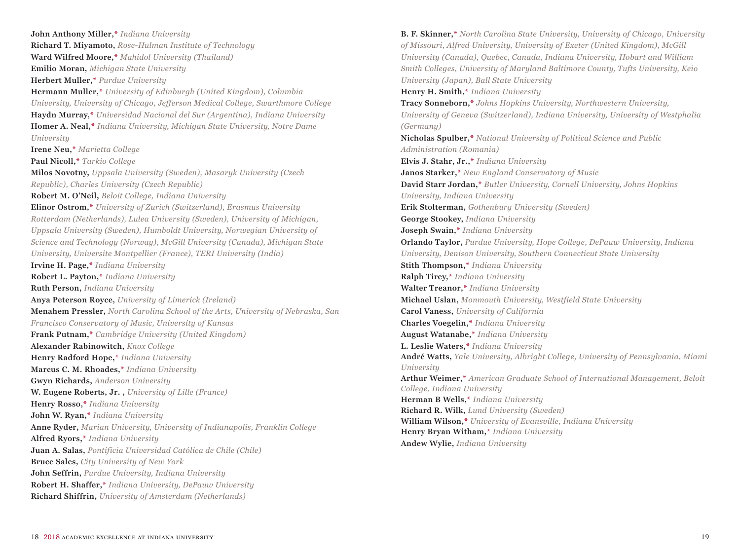**John Anthony Miller,\*** *Indiana University* **Richard T. Miyamoto,** *Rose-Hulman Institute of Technology* **Ward Wilfred Moore,\*** *Mahidol University (Thailand)* **Emilio Moran,** *Michigan State University* **Herbert Muller,\*** *Purdue University* **Hermann Muller,\*** *University of Edinburgh (United Kingdom), Columbia University, University of Chicago, Jefferson Medical College, Swarthmore College* **Haydn Murray,\*** *Universidad Nacional del Sur (Argentina), Indiana University*  **Homer A. Neal,\*** *Indiana University, Michigan State University, Notre Dame University* **Irene Neu,\*** *Marietta College* **Paul Nicoll,\*** *Tarkio College* **Milos Novotny,** *Uppsala University (Sweden), Masaryk University (Czech Republic), Charles University (Czech Republic)* **Robert M. O'Neil,** *Beloit College, Indiana University* **Elinor Ostrom,\*** *University of Zurich (Switzerland), Erasmus University Rotterdam (Netherlands), Lulea University (Sweden), University of Michigan, Uppsala University (Sweden), Humboldt University, Norwegian University of Science and Technology (Norway), McGill University (Canada), Michigan State University, Universite Montpellier (France), TERI University (India)* **Irvine H. Page,\*** *Indiana University* **Robert L. Payton,\*** *Indiana University* **Ruth Person,** *Indiana University* **Anya Peterson Royce,** *University of Limerick (Ireland)* **Menahem Pressler,** *North Carolina School of the Arts, University of Nebraska, San Francisco Conservatory of Music, University of Kansas*  **Frank Putnam,\*** *Cambridge University (United Kingdom)* **Alexander Rabinowitch,** *Knox College* **Henry Radford Hope,\*** *Indiana University* **Marcus C. M. Rhoades,\*** *Indiana University* **Gwyn Richards,** *Anderson University* **W. Eugene Roberts, Jr. ,** *University of Lille (France)* **Henry Rosso,\*** *Indiana University* **John W. Ryan,\*** *Indiana University* **Anne Ryder,** *Marian University, University of Indianapolis, Franklin College* **Alfred Ryors,\*** *Indiana University* **Juan A. Salas,** *Pontificia Universidad Católica de Chile (Chile)* **Bruce Sales,** *City University of New York* **John Seffrin,** *Purdue University, Indiana University* **Robert H. Shaffer,\*** *Indiana University, DePauw University* **Richard Shiffrin,** *University of Amsterdam (Netherlands)*

**B. F. Skinner,\*** *North Carolina State University, University of Chicago, University of Missouri, Alfred University, University of Exeter (United Kingdom), McGill University (Canada), Quebec, Canada, Indiana University, Hobart and William Smith Colleges, University of Maryland Baltimore County, Tufts University, Keio University (Japan), Ball State University* **Henry H. Smith,\*** *Indiana University* **Tracy Sonneborn,\*** *Johns Hopkins University, Northwestern University, University of Geneva (Switzerland), Indiana University, University of Westphalia (Germany)* **Nicholas Spulber,\*** *National University of Political Science and Public Administration (Romania)* **Elvis J. Stahr, Jr.,\*** *Indiana University* **Janos Starker,\*** *New England Conservatory of Music* **David Starr Jordan,\*** *Butler University, Cornell University, Johns Hopkins University, Indiana University* **Erik Stolterman,** *Gothenburg University (Sweden)* **George Stookey,** *Indiana University* **Joseph Swain,\*** *Indiana University* **Orlando Taylor,** *Purdue University, Hope College, DePauw University, Indiana University, Denison University, Southern Connecticut State University* **Stith Thompson,\*** *Indiana University* **Ralph Tirey,\*** *Indiana University* **Walter Treanor,\*** *Indiana University* **Michael Uslan,** *Monmouth University, Westfield State University* **Carol Vaness,** *University of California* **Charles Voegelin,\*** *Indiana University* **August Watanabe,\*** *Indiana University* **L. Leslie Waters,\*** *Indiana University* **André Watts,** *Yale University, Albright College, University of Pennsylvania, Miami University* **Arthur Weimer,\*** *American Graduate School of International Management, Beloit College, Indiana University* **Herman B Wells,\*** *Indiana University* **Richard R. Wilk,** *Lund University (Sweden)* **William Wilson,\*** *University of Evansville, Indiana University* **Henry Bryan Witham,\*** *Indiana University* **Andew Wylie,** *Indiana University*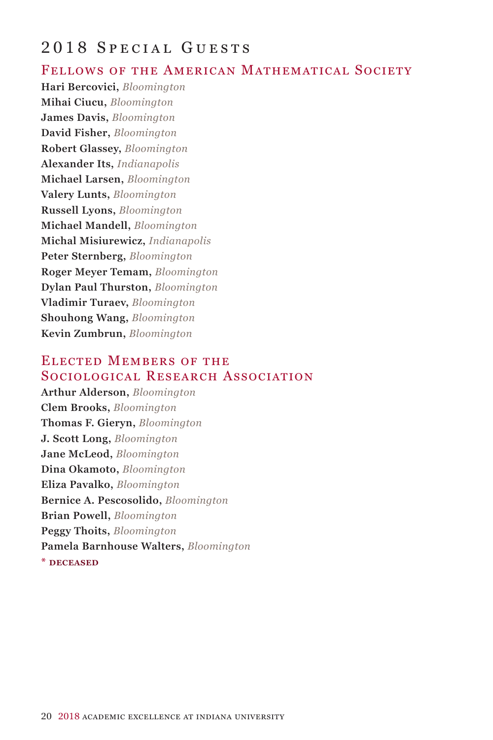## 2018 Special Guests

#### FELLOWS OF THE AMERICAN MATHEMATICAL SOCIETY

**Hari Bercovici,** *Bloomington* **Mihai Ciucu,** *Bloomington* **James Davis,** *Bloomington* **David Fisher,** *Bloomington* **Robert Glassey,** *Bloomington* **Alexander Its,** *Indianapolis* **Michael Larsen,** *Bloomington* **Valery Lunts,** *Bloomington* **Russell Lyons,** *Bloomington* **Michael Mandell,** *Bloomington* **Michal Misiurewicz,** *Indianapolis* **Peter Sternberg,** *Bloomington* **Roger Meyer Temam,** *Bloomington* **Dylan Paul Thurston,** *Bloomington* **Vladimir Turaev,** *Bloomington* **Shouhong Wang,** *Bloomington* **Kevin Zumbrun,** *Bloomington*

## Elected Members of the Sociological Research Association

**Arthur Alderson,** *Bloomington* **Clem Brooks,** *Bloomington* **Thomas F. Gieryn,** *Bloomington* **J. Scott Long,** *Bloomington* **Jane McLeod,** *Bloomington* **Dina Okamoto,** *Bloomington* **Eliza Pavalko,** *Bloomington* **Bernice A. Pescosolido,** *Bloomington* **Brian Powell,** *Bloomington* **Peggy Thoits,** *Bloomington* **Pamela Barnhouse Walters,** *Bloomington* **\* deceased**